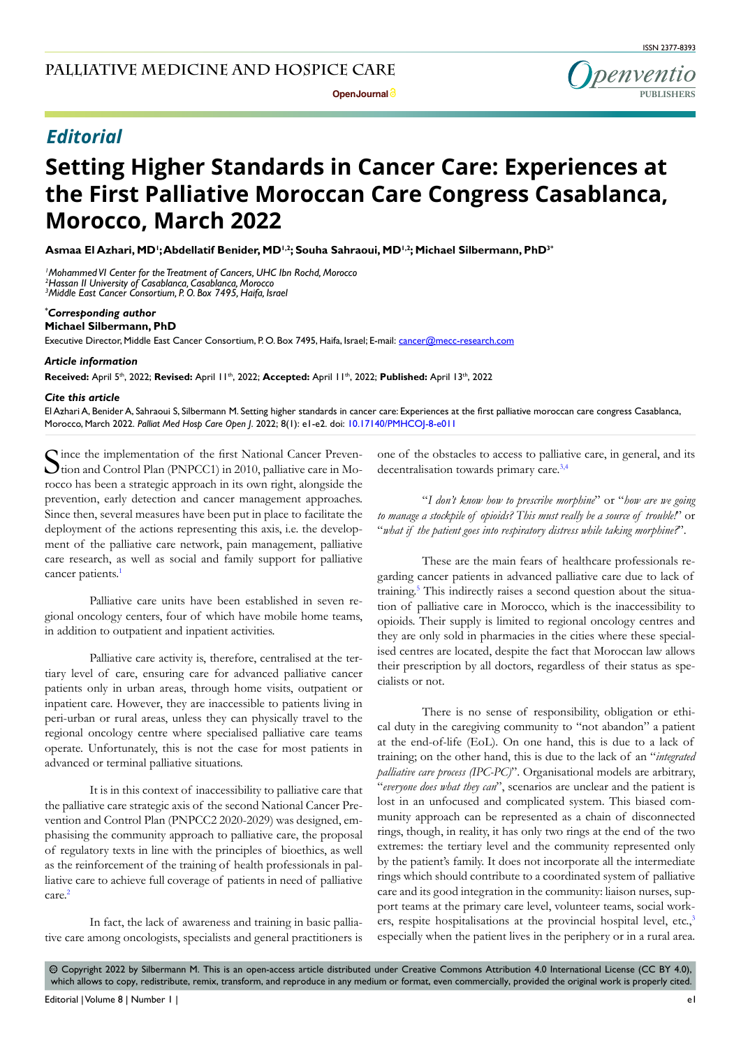**Denventic PUBLISHERS**

**Open Journal**

# *Editorial*

# **Setting Higher Standards in Cancer Care: Experiences at the First Palliative Moroccan Care Congress Casablanca, Morocco, March 2022**

**Asmaa El Azhari, MD1 ; Abdellatif Benider, MD1,2; Souha Sahraoui, MD1,2; Michael Silbermann, PhD3\***

*1 Mohammed VI Center for the Treatment of Cancers, UHC Ibn Rochd, Morocco 2 Hassan II University of Casablanca, Casablanca, Morocco 3 Middle East Cancer Consortium, P. O. Box 7495, Haifa, Israel*

## *\* Corresponding author*

**Michael Silbermann, PhD**

Executive Director, Middle East Cancer Consortium, P.O. Box 7495, Haifa, Israel; E-mail: cancer@mecc-research.com

#### *Article information*

**Received:** April 5th, 2022; **Revised:** April 11th, 2022; **Accepted:** April 11th, 2022; **Published:** April 13th, 2022

#### *Cite this article*

El Azhari A, Benider A, Sahraoui S, Silbermann M. Setting higher standards in cancer care: Experiences at the first palliative moroccan care congress Casablanca, Morocco, March 2022. *Palliat Med Hosp Care Open J*. 2022; 8(1): e1-e2. doi: [10.17140/PMHCOJ-8-e011](http://dx.doi.org/10.17140/PMHCOJ-8-e011)

Since the implementation of the first National Cancer Preven-<br>
tion and Control Plan (PNPCC1) in 2010, palliative care in Morocco has been a strategic approach in its own right, alongside the prevention, early detection and cancer management approaches. Since then, several measures have been put in place to facilitate the deployment of the actions representing this axis, i.e. the development of the palliative care network, pain management, palliative care research, as well as social and family support for palliative cancer patients.<sup>[1](#page-1-0)</sup>

Palliative care units have been established in seven regional oncology centers, four of which have mobile home teams, in addition to outpatient and inpatient activities.

Palliative care activity is, therefore, centralised at the tertiary level of care, ensuring care for advanced palliative cancer patients only in urban areas, through home visits, outpatient or inpatient care. However, they are inaccessible to patients living in peri-urban or rural areas, unless they can physically travel to the regional oncology centre where specialised palliative care teams operate. Unfortunately, this is not the case for most patients in advanced or terminal palliative situations.

It is in this context of inaccessibility to palliative care that the palliative care strategic axis of the second National Cancer Prevention and Control Plan (PNPCC2 2020-2029) was designed, emphasising the community approach to palliative care, the proposal of regulatory texts in line with the principles of bioethics, as well as the reinforcement of the training of health professionals in palliative care to achieve full coverage of patients in need of palliative care.[2](#page-1-1)

In fact, the lack of awareness and training in basic palliative care among oncologists, specialists and general practitioners is one of the obstacles to access to palliative care, in general, and its decentralisation towards primary care.<sup>[3,4](#page-1-2)</sup>

"*I don't know how to prescribe morphine*" or "*how are we going to manage a stockpile of opioids? This must really be a source of trouble!*" or "*what if the patient goes into respiratory distress while taking morphine?*".

These are the main fears of healthcare professionals regarding cancer patients in advanced palliative care due to lack of training.[5](#page-1-3) This indirectly raises a second question about the situation of palliative care in Morocco, which is the inaccessibility to opioids. Their supply is limited to regional oncology centres and they are only sold in pharmacies in the cities where these specialised centres are located, despite the fact that Moroccan law allows their prescription by all doctors, regardless of their status as specialists or not.

There is no sense of responsibility, obligation or ethical duty in the caregiving community to "not abandon" a patient at the end-of-life (EoL). On one hand, this is due to a lack of training; on the other hand, this is due to the lack of an "*integrated palliative care process (IPC-PC)*". Organisational models are arbitrary, "*everyone does what they can*", scenarios are unclear and the patient is lost in an unfocused and complicated system. This biased community approach can be represented as a chain of disconnected rings, though, in reality, it has only two rings at the end of the two extremes: the tertiary level and the community represented only by the patient's family. It does not incorporate all the intermediate rings which should contribute to a coordinated system of palliative care and its good integration in the community: liaison nurses, support teams at the primary care level, volunteer teams, social work-ers, respite hospitalisations at the provincial hospital level, etc.<sup>[3](#page-1-2)</sup> especially when the patient lives in the periphery or in a rural area.

 $\circledcirc$  Copyright 2022 by Silbermann M. This is an open-access article distributed under Creative Commons Attribution 4.0 International License ([CC BY 4.0\)](https://creativecommons.org/licenses/by/4.0/), which allows to copy, redistribute, remix, transform, and reproduce in any medium or format, even commercially, provided the original work is properly cited.